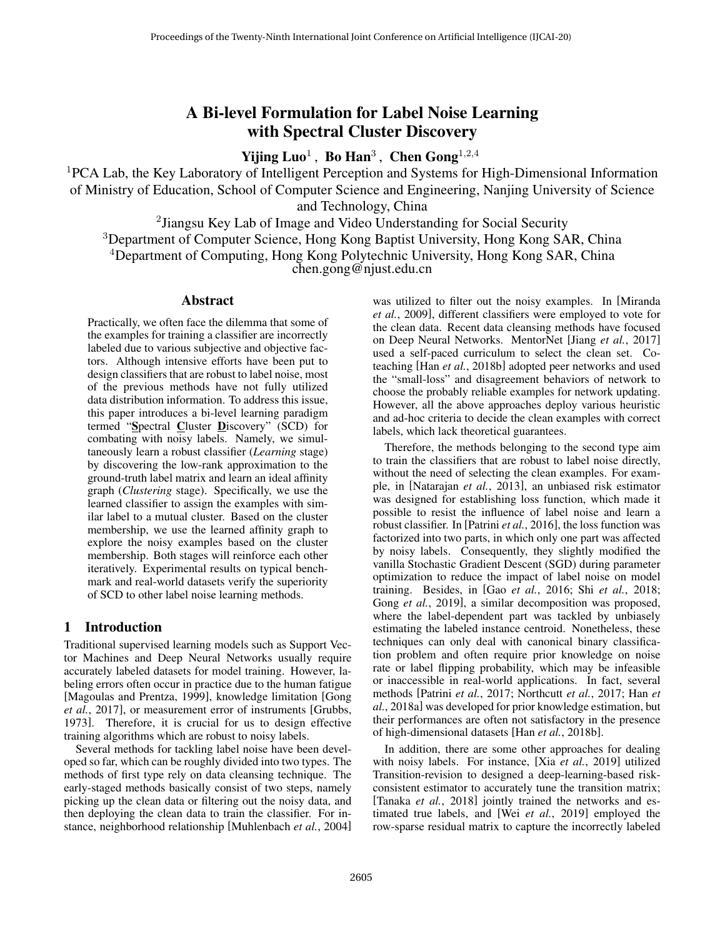# A Bi-level Formulation for Label Noise Learning with Spectral Cluster Discovery

Yijing  $\mathbf{L} \mathbf{u} \mathbf{o}^1$ , Bo  $\mathbf{H} \mathbf{a} \mathbf{n}^3$ , Chen  $\mathbf{G} \mathbf{o} \mathbf{n} \mathbf{g}^{1,2,4}$ 

<sup>1</sup>PCA Lab, the Key Laboratory of Intelligent Perception and Systems for High-Dimensional Information of Ministry of Education, School of Computer Science and Engineering, Nanjing University of Science and Technology, China

<sup>2</sup> Jiangsu Key Lab of Image and Video Understanding for Social Security <sup>3</sup>Department of Computer Science, Hong Kong Baptist University, Hong Kong SAR, China <sup>4</sup>Department of Computing, Hong Kong Polytechnic University, Hong Kong SAR, China

chen.gong@njust.edu.cn

# Abstract

Practically, we often face the dilemma that some of the examples for training a classifier are incorrectly labeled due to various subjective and objective factors. Although intensive efforts have been put to design classifiers that are robust to label noise, most of the previous methods have not fully utilized data distribution information. To address this issue, this paper introduces a bi-level learning paradigm termed "Spectral Cluster Discovery" (SCD) for combating with noisy labels. Namely, we simultaneously learn a robust classifier (*Learning* stage) by discovering the low-rank approximation to the ground-truth label matrix and learn an ideal affinity graph (*Clustering* stage). Specifically, we use the learned classifier to assign the examples with similar label to a mutual cluster. Based on the cluster membership, we use the learned affinity graph to explore the noisy examples based on the cluster membership. Both stages will reinforce each other iteratively. Experimental results on typical benchmark and real-world datasets verify the superiority of SCD to other label noise learning methods.

# 1 Introduction

Traditional supervised learning models such as Support Vector Machines and Deep Neural Networks usually require accurately labeled datasets for model training. However, labeling errors often occur in practice due to the human fatigue [Magoulas and Prentza, 1999], knowledge limitation [Gong *et al.*, 2017], or measurement error of instruments [Grubbs, 1973]. Therefore, it is crucial for us to design effective training algorithms which are robust to noisy labels.

Several methods for tackling label noise have been developed so far, which can be roughly divided into two types. The methods of first type rely on data cleansing technique. The early-staged methods basically consist of two steps, namely picking up the clean data or filtering out the noisy data, and then deploying the clean data to train the classifier. For instance, neighborhood relationship [Muhlenbach *et al.*, 2004] was utilized to filter out the noisy examples. In [Miranda *et al.*, 2009], different classifiers were employed to vote for the clean data. Recent data cleansing methods have focused on Deep Neural Networks. MentorNet [Jiang *et al.*, 2017] used a self-paced curriculum to select the clean set. Coteaching [Han *et al.*, 2018b] adopted peer networks and used the "small-loss" and disagreement behaviors of network to choose the probably reliable examples for network updating. However, all the above approaches deploy various heuristic and ad-hoc criteria to decide the clean examples with correct labels, which lack theoretical guarantees.

Therefore, the methods belonging to the second type aim to train the classifiers that are robust to label noise directly, without the need of selecting the clean examples. For example, in [Natarajan *et al.*, 2013], an unbiased risk estimator was designed for establishing loss function, which made it possible to resist the influence of label noise and learn a robust classifier. In [Patrini *et al.*, 2016], the loss function was factorized into two parts, in which only one part was affected by noisy labels. Consequently, they slightly modified the vanilla Stochastic Gradient Descent (SGD) during parameter optimization to reduce the impact of label noise on model training. Besides, in [Gao *et al.*, 2016; Shi *et al.*, 2018; Gong *et al.*, 2019], a similar decomposition was proposed, where the label-dependent part was tackled by unbiasely estimating the labeled instance centroid. Nonetheless, these techniques can only deal with canonical binary classification problem and often require prior knowledge on noise rate or label flipping probability, which may be infeasible or inaccessible in real-world applications. In fact, several methods [Patrini *et al.*, 2017; Northcutt *et al.*, 2017; Han *et al.*, 2018a] was developed for prior knowledge estimation, but their performances are often not satisfactory in the presence of high-dimensional datasets [Han *et al.*, 2018b].

In addition, there are some other approaches for dealing with noisy labels. For instance, [Xia *et al.*, 2019] utilized Transition-revision to designed a deep-learning-based riskconsistent estimator to accurately tune the transition matrix; [Tanaka *et al.*, 2018] jointly trained the networks and estimated true labels, and [Wei *et al.*, 2019] employed the row-sparse residual matrix to capture the incorrectly labeled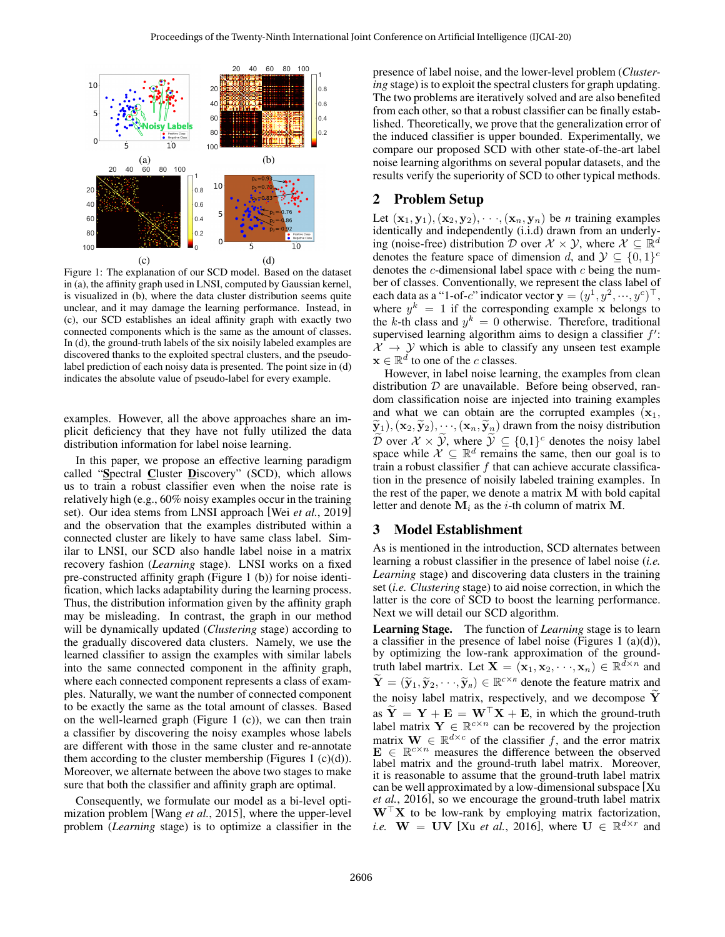

Figure 1: The explanation of our SCD model. Based on the dataset in (a), the affinity graph used in LNSI, computed by Gaussian kernel, is visualized in (b), where the data cluster distribution seems quite unclear, and it may damage the learning performance. Instead, in (c), our SCD establishes an ideal affinity graph with exactly two connected components which is the same as the amount of classes. In (d), the ground-truth labels of the six noisily labeled examples are discovered thanks to the exploited spectral clusters, and the pseudolabel prediction of each noisy data is presented. The point size in (d) indicates the absolute value of pseudo-label for every example.

examples. However, all the above approaches share an implicit deficiency that they have not fully utilized the data distribution information for label noise learning.

In this paper, we propose an effective learning paradigm called "Spectral Cluster Discovery" (SCD), which allows us to train a robust classifier even when the noise rate is relatively high (e.g., 60% noisy examples occur in the training set). Our idea stems from LNSI approach [Wei *et al.*, 2019] and the observation that the examples distributed within a connected cluster are likely to have same class label. Similar to LNSI, our SCD also handle label noise in a matrix recovery fashion (*Learning* stage). LNSI works on a fixed pre-constructed affinity graph (Figure 1 (b)) for noise identification, which lacks adaptability during the learning process. Thus, the distribution information given by the affinity graph may be misleading. In contrast, the graph in our method will be dynamically updated (*Clustering* stage) according to the gradually discovered data clusters. Namely, we use the learned classifier to assign the examples with similar labels into the same connected component in the affinity graph, where each connected component represents a class of examples. Naturally, we want the number of connected component to be exactly the same as the total amount of classes. Based on the well-learned graph (Figure 1 (c)), we can then train a classifier by discovering the noisy examples whose labels are different with those in the same cluster and re-annotate them according to the cluster membership (Figures 1  $(c)(d)$ ). Moreover, we alternate between the above two stages to make sure that both the classifier and affinity graph are optimal.

Consequently, we formulate our model as a bi-level optimization problem [Wang *et al.*, 2015], where the upper-level problem (*Learning* stage) is to optimize a classifier in the presence of label noise, and the lower-level problem (*Clustering* stage) is to exploit the spectral clusters for graph updating. The two problems are iteratively solved and are also benefited from each other, so that a robust classifier can be finally established. Theoretically, we prove that the generalization error of the induced classifier is upper bounded. Experimentally, we compare our proposed SCD with other state-of-the-art label noise learning algorithms on several popular datasets, and the results verify the superiority of SCD to other typical methods.

### 2 Problem Setup

Let  $(\mathbf{x}_1, \mathbf{y}_1), (\mathbf{x}_2, \mathbf{y}_2), \cdots, (\mathbf{x}_n, \mathbf{y}_n)$  be *n* training examples identically and independently (i.i.d) drawn from an underlying (noise-free) distribution  $\mathcal{D}$  over  $\mathcal{X} \times \mathcal{Y}$ , where  $\mathcal{X} \subseteq \mathbb{R}^d$ denotes the feature space of dimension d, and  $\mathcal{Y} \subseteq \{0,1\}^c$ denotes the  $c$ -dimensional label space with  $c$  being the number of classes. Conventionally, we represent the class label of each data as a "1-of-c" indicator vector  $\mathbf{y} = (y^1, y^2, \dots, y^c)^\top$ , where  $y^k = 1$  if the corresponding example x belongs to the k-th class and  $y^k = 0$  otherwise. Therefore, traditional supervised learning algorithm aims to design a classifier  $f'$ :  $\mathcal{X} \rightarrow \mathcal{Y}$  which is able to classify any unseen test example  $\mathbf{x} \in \mathbb{R}^d$  to one of the c classes.

However, in label noise learning, the examples from clean distribution  $D$  are unavailable. Before being observed, random classification noise are injected into training examples and what we can obtain are the corrupted examples  $(x_1,$  $(\widetilde{\mathbf{y}}_1),(\mathbf{x}_2,\widetilde{\mathbf{y}}_2),\cdots,(\mathbf{x}_n,\widetilde{\mathbf{y}}_n)$  drawn from the noisy distribution  $\widetilde{\mathcal{D}}$  over  $\mathcal{X} \times \widetilde{\mathcal{Y}}$ , where  $\widetilde{\mathcal{Y}} \subseteq \{0,1\}^c$  denotes the noisy label space while  $\mathcal{X} \subseteq \mathbb{R}^d$  remains the same, then our goal is to train a robust classifier  $f$  that can achieve accurate classification in the presence of noisily labeled training examples. In the rest of the paper, we denote a matrix M with bold capital letter and denote  $M_i$  as the *i*-th column of matrix M.

### 3 Model Establishment

As is mentioned in the introduction, SCD alternates between learning a robust classifier in the presence of label noise (*i.e. Learning* stage) and discovering data clusters in the training set (*i.e. Clustering* stage) to aid noise correction, in which the latter is the core of SCD to boost the learning performance. Next we will detail our SCD algorithm.

Learning Stage. The function of *Learning* stage is to learn a classifier in the presence of label noise (Figures 1  $(a)(d)$ ), by optimizing the low-rank approximation of the groundtruth label martrix. Let  $\mathbf{X} = (\mathbf{x}_1, \mathbf{x}_2, \dots, \mathbf{x}_n) \in \mathbb{R}^{\bar{d} \times n}$  and  $\widetilde{\mathbf{Y}} = (\widetilde{\mathbf{y}}_1, \widetilde{\mathbf{y}}_2, \cdots, \widetilde{\mathbf{y}}_n) \in \mathbb{R}^{c \times n}$  denote the feature matrix and the noisy label matrix, respectively, and we decompose  $Y$ as  $\tilde{Y} = Y + E = W^{\top}X + E$ , in which the ground-truth label matrix  $\mathbf{Y} \in \mathbb{R}^{c \times n}$  can be recovered by the projection matrix  $\mathbf{W} \in \mathbb{R}^{d \times c}$  of the classifier f, and the error matrix  $\mathbf{E} \in \mathbb{R}^{c \times n}$  measures the difference between the observed label matrix and the ground-truth label matrix. Moreover, it is reasonable to assume that the ground-truth label matrix can be well approximated by a low-dimensional subspace [Xu *et al.*, 2016], so we encourage the ground-truth label matrix  $W^{\dagger}X$  to be low-rank by employing matrix factorization, *i.e.*  $W = UV$  [Xu *et al.*, 2016], where  $U \in \mathbb{R}^{d \times r}$  and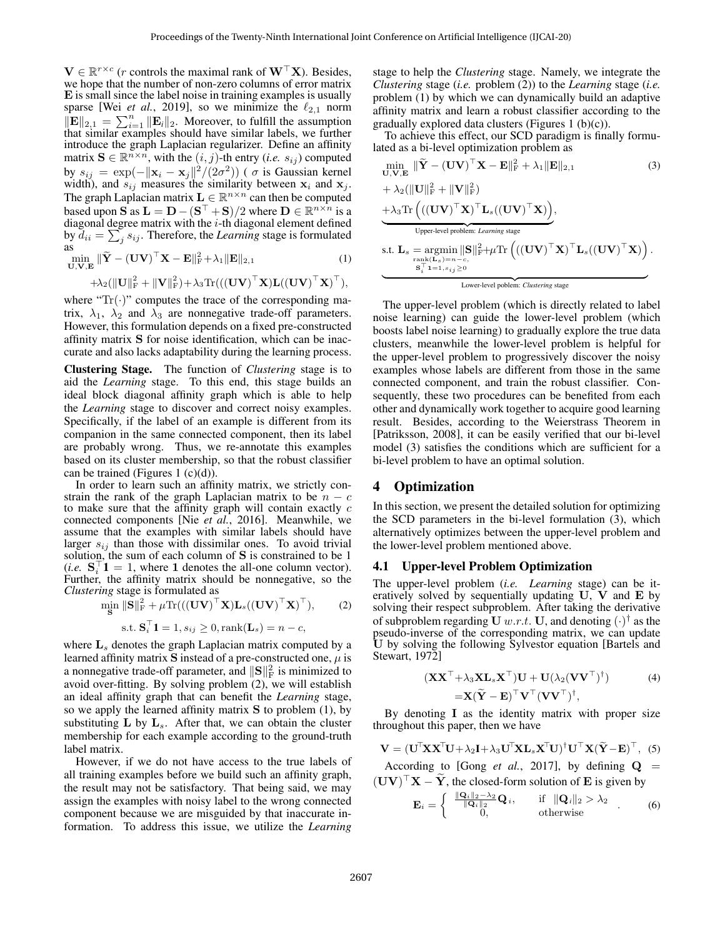$\mathbf{V} \in \mathbb{R}^{r \times c}$  (*r* controls the maximal rank of  $\mathbf{W}^{\top} \mathbf{X}$ ). Besides, we hope that the number of non-zero columns of error matrix E is small since the label noise in training examples is usually sparse [Wei *et al.*, 2019], so we minimize the  $\ell_{2,1}$  norm  $\|\mathbf{E}\|_{2,1} = \sum_{i=1}^n \|\mathbf{E}_i\|_2$ . Moreover, to fulfill the assumption that similar examples should have similar labels, we further introduce the graph Laplacian regularizer. Define an affinity matrix  $\mathbf{S} \in \mathbb{R}^{n \times n}$ , with the  $(i, j)$ -th entry  $(i.e. s_{ij})$  computed by  $s_{ij} = \exp(-\|\mathbf{x}_i - \mathbf{x}_j\|^2 / (2\sigma^2))$  (  $\sigma$  is Gaussian kernel width), and  $s_{ij}$  measures the similarity between  $x_i$  and  $x_j$ . The graph Laplacian matrix  $\mathbf{L} \in \mathbb{R}^{n \times n}$  can then be computed based upon  $\vec{S}$  as  $\mathbf{L} = \mathbf{D} - (\mathbf{S}^\top + \mathbf{S})/2$  where  $\mathbf{D} \in \mathbb{R}^{n \times n}$  is a diagonal degree matrix with the *i*-th diagonal element defined by  $\overline{d}_{ii} = \sum_j s_{ij}$ . Therefore, the *Learning* stage is formulated as

 $\min_{\mathbf{U},\mathbf{V},\mathbf{E}} \|\widetilde{\mathbf{Y}} - (\mathbf{U}\mathbf{V})^{\top}\mathbf{X} - \mathbf{E}\|_{\text{F}}^2 + \lambda_1 \|\mathbf{E}\|_{2,1}$  (1)

$$
+ \lambda_2(\|\mathbf{U}\|_{\mathrm{F}}^2 + \|\mathbf{V}\|_{\mathrm{F}}^2) + \lambda_3 \mathrm{Tr}(((\mathbf{U}\mathbf{V})^{\top}\mathbf{X})\mathbf{L}((\mathbf{U}\mathbf{V})^{\top}\mathbf{X})^{\top}),
$$

where " $Tr(\cdot)$ " computes the trace of the corresponding matrix,  $\lambda_1$ ,  $\lambda_2$  and  $\lambda_3$  are nonnegative trade-off parameters. However, this formulation depends on a fixed pre-constructed affinity matrix S for noise identification, which can be inaccurate and also lacks adaptability during the learning process.

Clustering Stage. The function of *Clustering* stage is to aid the *Learning* stage. To this end, this stage builds an ideal block diagonal affinity graph which is able to help the *Learning* stage to discover and correct noisy examples. Specifically, if the label of an example is different from its companion in the same connected component, then its label are probably wrong. Thus, we re-annotate this examples based on its cluster membership, so that the robust classifier can be trained (Figures 1  $(c)(d)$ ).

In order to learn such an affinity matrix, we strictly constrain the rank of the graph Laplacian matrix to be  $n - c$ to make sure that the affinity graph will contain exactly  $c$ connected components [Nie *et al.*, 2016]. Meanwhile, we assume that the examples with similar labels should have larger  $s_{ij}$  than those with dissimilar ones. To avoid trivial solution, the sum of each column of S is constrained to be 1  $(i.e. S_i^{\top} \mathbf{1} = 1$ , where 1 denotes the all-one column vector). Further, the affinity matrix should be nonnegative, so the *Clustering* stage is formulated as

$$
\min_{\mathbf{S}} \|\mathbf{S}\|_{\mathrm{F}}^2 + \mu \mathrm{Tr}(((\mathbf{U}\mathbf{V})^{\top}\mathbf{X})\mathbf{L}_s((\mathbf{U}\mathbf{V})^{\top}\mathbf{X})^{\top}), \qquad (2)
$$

$$
s.t. S_i^{\top} \mathbf{1} = 1, s_{ij} \ge 0, \text{rank}(\mathbf{L}_s) = n - c,
$$

where  $L<sub>s</sub>$  denotes the graph Laplacian matrix computed by a learned affinity matrix S instead of a pre-constructed one,  $\mu$  is a nonnegative trade-off parameter, and  $\|\mathbf{S}\|_{\text{F}}^2$  is minimized to avoid over-fitting. By solving problem (2), we will establish an ideal affinity graph that can benefit the *Learning* stage, so we apply the learned affinity matrix  $S$  to problem (1), by substituting  $L$  by  $L_s$ . After that, we can obtain the cluster membership for each example according to the ground-truth label matrix.

However, if we do not have access to the true labels of all training examples before we build such an affinity graph, the result may not be satisfactory. That being said, we may assign the examples with noisy label to the wrong connected component because we are misguided by that inaccurate information. To address this issue, we utilize the *Learning* stage to help the *Clustering* stage. Namely, we integrate the *Clustering* stage (*i.e.* problem (2)) to the *Learning* stage (*i.e.* problem (1) by which we can dynamically build an adaptive affinity matrix and learn a robust classifier according to the gradually explored data clusters (Figures 1  $(b)(c)$ ).

To achieve this effect, our SCD paradigm is finally formulated as a bi-level optimization problem as

$$
\min_{\mathbf{U}, \mathbf{V}, \mathbf{E}} \|\widetilde{\mathbf{Y}} - (\mathbf{U}\mathbf{V})^{\top}\mathbf{X} - \mathbf{E}\|_{\mathrm{F}}^{2} + \lambda_{1} \|\mathbf{E}\|_{2,1}
$$
\n
$$
+ \lambda_{2}(\|\mathbf{U}\|_{\mathrm{F}}^{2} + \|\mathbf{V}\|_{\mathrm{F}}^{2})
$$
\n
$$
+ \lambda_{3} \text{Tr}\left(((\mathbf{U}\mathbf{V})^{\top}\mathbf{X})^{\top}\mathbf{L}_{s}((\mathbf{U}\mathbf{V})^{\top}\mathbf{X})\right),
$$
\n
$$
\underbrace{\lambda_{3} \text{Tr}\left(((\mathbf{U}\mathbf{V})^{\top}\mathbf{X})^{\top}\mathbf{L}_{s}((\mathbf{U}\mathbf{V})^{\top}\mathbf{X})\right)}_{\text{Upper-level problem: Learning stage}},
$$
\n
$$
\text{s.t. } \mathbf{L}_{s} = \underset{\mathbf{S}_{i}^{\top}\mathbf{1} = 1, s_{ij} \geq 0}{\text{rank}(\mathbf{L}_{s}) = n - c},
$$
\n
$$
\underbrace{\mathbf{L}_{s_{i}^{\top}\mathbf{1} = 1, s_{ij} \geq 0}}_{\text{Lower-level problem: Clustering stage}}
$$
\n
$$
\underbrace{\mathbf{L}_{s_{i}^{\top}\mathbf{1} = 1, s_{ij} \geq 0}}_{\text{Lower-level problem: Clustering stage}}
$$
\n(1)

The upper-level problem (which is directly related to label noise learning) can guide the lower-level problem (which boosts label noise learning) to gradually explore the true data clusters, meanwhile the lower-level problem is helpful for the upper-level problem to progressively discover the noisy examples whose labels are different from those in the same connected component, and train the robust classifier. Consequently, these two procedures can be benefited from each other and dynamically work together to acquire good learning result. Besides, according to the Weierstrass Theorem in [Patriksson, 2008], it can be easily verified that our bi-level model (3) satisfies the conditions which are sufficient for a bi-level problem to have an optimal solution.

# 4 Optimization

In this section, we present the detailed solution for optimizing the SCD parameters in the bi-level formulation (3), which alternatively optimizes between the upper-level problem and the lower-level problem mentioned above.

### 4.1 Upper-level Problem Optimization

The upper-level problem (*i.e. Learning* stage) can be iteratively solved by sequentially updating  $U$ ,  $V$  and  $E$  by solving their respect subproblem. After taking the derivative of subproblem regarding U  $w.r.t.$  U, and denoting  $(\cdot)^\dagger$  as the pseudo-inverse of the corresponding matrix, we can update U by solving the following Sylvestor equation [Bartels and Stewart, 1972]

$$
(\mathbf{X}\mathbf{X}^{\top} + \lambda_3 \mathbf{X}\mathbf{L}_s\mathbf{X}^{\top})\mathbf{U} + \mathbf{U}(\lambda_2(\mathbf{V}\mathbf{V}^{\top})^{\dagger})
$$
(4)  
=\mathbf{X}(\widetilde{\mathbf{Y}} - \mathbf{E})^{\top}\mathbf{V}^{\top}(\mathbf{V}\mathbf{V}^{\top})^{\dagger},

By denoting I as the identity matrix with proper size throughout this paper, then we have

$$
\mathbf{V} = (\mathbf{U}^{\mathsf{T}} \mathbf{X} \mathbf{X}^{\mathsf{T}} \mathbf{U} + \lambda_2 \mathbf{I} + \lambda_3 \mathbf{U}^{\mathsf{T}} \mathbf{X} \mathbf{L}_s \mathbf{X}^{\mathsf{T}} \mathbf{U})^{\dagger} \mathbf{U}^{\mathsf{T}} \mathbf{X} (\widetilde{\mathbf{Y}} - \mathbf{E})^{\mathsf{T}},
$$
 (5)

According to [Gong *et al.*, 2017], by defining  $Q =$  $(\mathbf{U}\mathbf{V})^{\top}\mathbf{X} - \widetilde{\mathbf{Y}}$ , the closed-form solution of **E** is given by

$$
\mathbf{E}_{i} = \begin{cases} \frac{\|\mathbf{Q}_{i}\|_{2} - \lambda_{2}}{\|\mathbf{Q}_{i}\|_{2}} \mathbf{Q}_{i}, & \text{if } \|\mathbf{Q}_{i}\|_{2} > \lambda_{2} \\ 0, & \text{otherwise} \end{cases} . \tag{6}
$$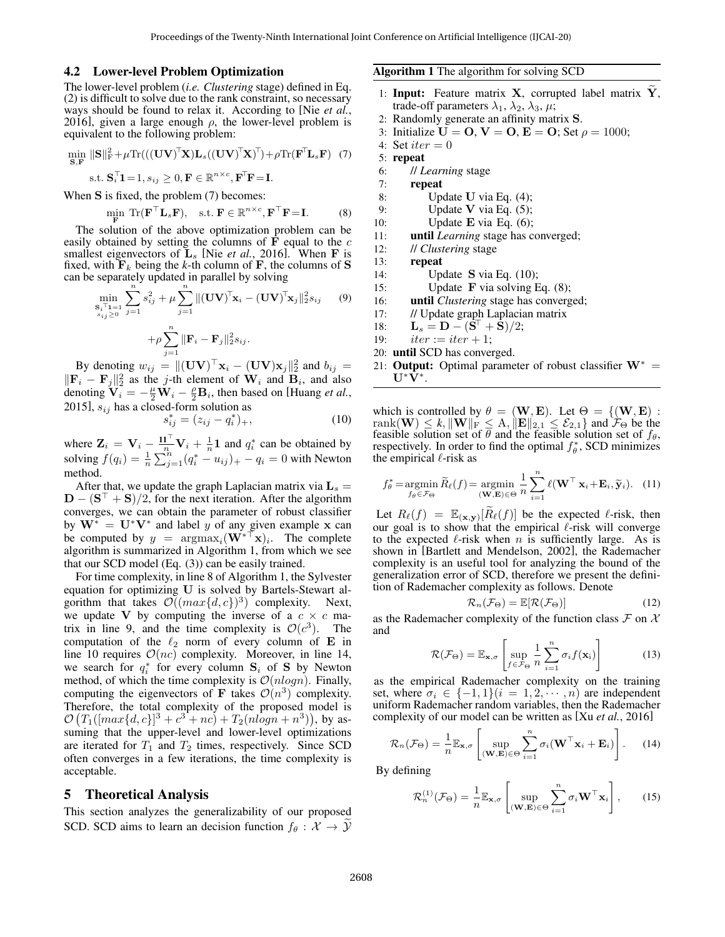#### 4.2 Lower-level Problem Optimization

The lower-level problem (*i.e. Clustering* stage) defined in Eq. (2) is difficult to solve due to the rank constraint, so necessary ways should be found to relax it. According to [Nie *et al.*, 2016], given a large enough  $\rho$ , the lower-level problem is equivalent to the following problem:

$$
\min_{\mathbf{S}, \mathbf{F}} \|\mathbf{S}\|_{\mathrm{F}}^2 + \mu \text{Tr}(((\mathbf{U}\mathbf{V})^{\top}\mathbf{X})\mathbf{L}_s((\mathbf{U}\mathbf{V})^{\top}\mathbf{X})^{\top}) + \rho \text{Tr}(\mathbf{F}^{\top}\mathbf{L}_s \mathbf{F}) \tag{7}
$$
  
s.t.  $\mathbf{S}_i^{\top} \mathbf{1} = 1$ ,  $s_{ij} \ge 0$ ,  $\mathbf{F} \in \mathbb{R}^{n \times c}$ ,  $\mathbf{F}^{\top}\mathbf{F} = \mathbf{I}$ .

When S is fixed, the problem  $(7)$  becomes:

$$
\min_{\mathbf{F}} \text{Tr}(\mathbf{F}^{\top} \mathbf{L}_s \mathbf{F}), \quad \text{s.t. } \mathbf{F} \in \mathbb{R}^{n \times c}, \mathbf{F}^{\top} \mathbf{F} = \mathbf{I}. \tag{8}
$$

The solution of the above optimization problem can be easily obtained by setting the columns of  $\vec{F}$  equal to the c smallest eigenvectors of  $\mathbf{L}_s$  [Nie *et al.*, 2016]. When **F** is fixed, with  $\mathbf{F}_k$  being the *k*-th column of **F**, the columns of **S** can be separately updated in parallel by solving

$$
\min_{\substack{\mathbf{S}_{i}^{T} \mathbf{I} = 1 \\ s_{ij} \ge 0}} \sum_{j=1}^{n} s_{ij}^{2} + \mu \sum_{j=1}^{n} \| (\mathbf{U} \mathbf{V})^{T} \mathbf{x}_{i} - (\mathbf{U} \mathbf{V})^{T} \mathbf{x}_{j} \|_{2}^{2} s_{ij}
$$
(9)  
+
$$
\mu \sum_{j=1}^{n} \| \mathbf{F}_{i} - \mathbf{F}_{j} \|_{2}^{2} s_{ij}.
$$

By denoting  $w_{ij} = ||(\mathbf{U}\mathbf{V})^{\top}\mathbf{x}_i - (\mathbf{U}\mathbf{V})\mathbf{x}_j||_2^2$  and  $b_{ij} =$  $\|\mathbf{F}_i - \mathbf{F}_j\|_2^2$  as the j-th element of  $\mathbf{W}_i$  and  $\mathbf{B}_i$ , and also denoting  $\overline{\mathbf{V}}_i = -\frac{\mu}{2}\overline{\mathbf{W}}_i - \frac{\rho}{2}\mathbf{B}_i$ , then based on [Huang *et al.*, 2015],  $s_{ij}$  has a closed-form solution as

$$
s_{ij}^* = (z_{ij} - q_i^*)_+, \tag{10}
$$

where  $\mathbf{Z}_i = \mathbf{V}_i - \frac{\mathbf{1} \mathbf{1}^\top}{n} \mathbf{V}_i + \frac{1}{n} \mathbf{1}$  and  $q_i^*$  can be obtained by solving  $f(q_i) = \frac{1}{n} \sum_{j=1}^{n} (q_i^* - u_{ij})_+ - q_i = 0$  with Newton method.

After that, we update the graph Laplacian matrix via  $L_s =$  $\mathbf{D} - (\mathbf{S}^\top + \mathbf{S})/2$ , for the next iteration. After the algorithm converges, we can obtain the parameter of robust classifier by  $W^* = U^*V^*$  and label y of any given example x can be computed by  $y = \argmax_i (\mathbf{W}^* \top \mathbf{x})_i$ . The complete algorithm is summarized in Algorithm 1, from which we see that our SCD model (Eq. (3)) can be easily trained.

For time complexity, in line 8 of Algorithm 1, the Sylvester equation for optimizing U is solved by Bartels-Stewart algorithm that takes  $\mathcal{O}((max\{d, c\})^3)$  complexity. Next, we update V by computing the inverse of a  $c \times c$  matrix in line 9, and the time complexity is  $\mathcal{O}(c^3)$ . The computation of the  $\ell_2$  norm of every column of E in line 10 requires  $\mathcal{O}(nc)$  complexity. Moreover, in line 14, we search for  $q_i^*$  for every column  $S_i$  of S by Newton method, of which the time complexity is  $\mathcal{O}(n \log n)$ . Finally, computing the eigenvectors of **F** takes  $\mathcal{O}(n^3)$  complexity. Therefore, the total complexity of the proposed model is  $\mathcal{O}(T_1([max\{d,c\}]^3 + c^3 + nc) + T_2(nlogn + n^3)),$  by assuming that the upper-level and lower-level optimizations are iterated for  $T_1$  and  $T_2$  times, respectively. Since SCD often converges in a few iterations, the time complexity is acceptable.

#### 5 Theoretical Analysis

This section analyzes the generalizability of our proposed SCD. SCD aims to learn an decision function  $f_\theta : \mathcal{X} \to \mathcal{Y}$  Algorithm 1 The algorithm for solving SCD

- 1: Input: Feature matrix X, corrupted label matrix  $\tilde{Y}$ , trade-off parameters  $\lambda_1$ ,  $\lambda_2$ ,  $\lambda_3$ ,  $\mu$ ;
- 2: Randomly generate an affinity matrix S.
- 3: Initialize  $U = 0$ ,  $V = 0$ ,  $E = 0$ ; Set  $\rho = 1000$ ;
- 4: Set  $iter = 0$
- 5: repeat
- 6: // *Learning* stage
- 7: repeat
- 8: Update U via Eq. (4);
- 9: Update **V** via Eq.  $(5)$ ;
- 10: Update E via Eq.  $(6)$ ;
- 11: until *Learning* stage has converged;
- 12: // *Clustering* stage

13: repeat

- 14: Update S via Eq. (10);
- 15: Update F via solving Eq. (8);
- 16: until *Clustering* stage has converged;
- 17: // Update graph Laplacian matrix
- 18:  ${\bf L}_s = {\bf D} ({\bf S}^{\!\top} + {\bf S})/2;$
- 19:  $iter := iter + 1;$
- 20: until SCD has converged.
- 21: Output: Optimal parameter of robust classifier  $W^* =$  $\mathbf{U}^*\tilde{\mathbf{V}}^*.$

which is controlled by  $\theta = (\mathbf{W}, \mathbf{E})$ . Let  $\Theta = \{(\mathbf{W}, \mathbf{E}) :$  $rank(\mathbf{W}) \leq k, ||\mathbf{W}||_F \leq A, ||\mathbf{E}||_{2,1} \leq \mathcal{E}_{2,1}$  and  $\mathcal{F}_{\Theta}$  be the feasible solution set of  $\theta$  and the feasible solution set of  $f_{\theta}$ , respectively. In order to find the optimal  $f^*_{\theta}$ , SCD minimizes the empirical  $\ell$ -risk as

$$
f_{\theta}^* = \operatorname*{argmin}_{f_{\theta} \in \mathcal{F}_{\Theta}} \widetilde{R}_{\ell}(f) = \operatorname*{argmin}_{(\mathbf{W}, \mathbf{E}) \in \Theta} \frac{1}{n} \sum_{i=1}^n \ell(\mathbf{W}^\top \mathbf{x}_i + \mathbf{E}_i, \widetilde{\mathbf{y}}_i). \quad (11)
$$

Let  $R_{\ell}(f) = \mathbb{E}_{(\mathbf{x}, \mathbf{y})} [\widetilde{R}_{\ell}(f)]$  be the expected  $\ell$ -risk, then our goal is to show that the empirical  $\ell$ -risk will converge to the expected  $\ell$ -risk when n is sufficiently large. As is shown in [Bartlett and Mendelson, 2002], the Rademacher complexity is an useful tool for analyzing the bound of the generalization error of SCD, therefore we present the definition of Rademacher complexity as follows. Denote

$$
\mathcal{R}_n(\mathcal{F}_{\Theta}) = \mathbb{E}[\mathcal{R}(\mathcal{F}_{\Theta})]
$$
 (12)

as the Rademacher complexity of the function class  $\mathcal F$  on  $\mathcal X$ and

$$
\mathcal{R}(\mathcal{F}_{\Theta}) = \mathbb{E}_{\mathbf{x}, \sigma} \left[ \sup_{f \in \mathcal{F}_{\Theta}} \frac{1}{n} \sum_{i=1}^{n} \sigma_i f(\mathbf{x}_i) \right]
$$
(13)

as the empirical Rademacher complexity on the training set, where  $\sigma_i \in \{-1,1\}(i=1,2,\dots, n)$  are independent uniform Rademacher random variables, then the Rademacher complexity of our model can be written as [Xu *et al.*, 2016]

$$
\mathcal{R}_n(\mathcal{F}_{\Theta}) = \frac{1}{n} \mathbb{E}_{\mathbf{x}, \sigma} \left[ \sup_{(\mathbf{W}, \mathbf{E}) \in \Theta} \sum_{i=1}^n \sigma_i (\mathbf{W}^\top \mathbf{x}_i + \mathbf{E}_i) \right].
$$
 (14)

By defining

$$
\mathcal{R}_n^{(1)}(\mathcal{F}_{\Theta}) = \frac{1}{n} \mathbb{E}_{\mathbf{x}, \sigma} \left[ \sup_{(\mathbf{W}, \mathbf{E}) \in \Theta} \sum_{i=1}^n \sigma_i \mathbf{W}^\top \mathbf{x}_i \right], \qquad (15)
$$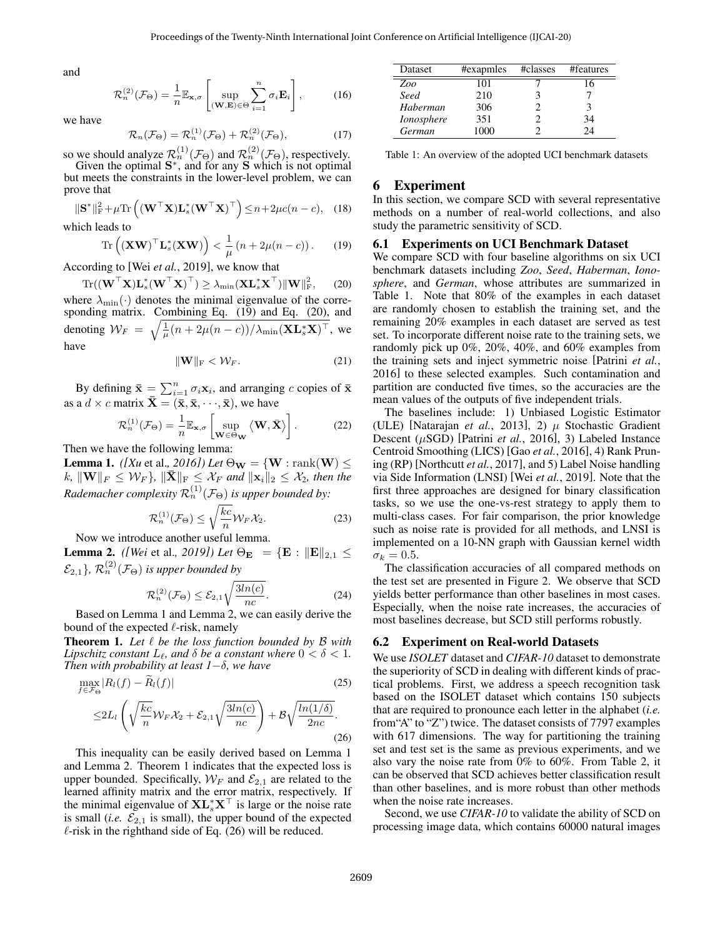and

$$
\mathcal{R}_n^{(2)}(\mathcal{F}_{\Theta}) = \frac{1}{n} \mathbb{E}_{\mathbf{x}, \sigma} \left[ \sup_{(\mathbf{W}, \mathbf{E}) \in \Theta} \sum_{i=1}^n \sigma_i \mathbf{E}_i \right],\tag{16}
$$

we have

$$
\mathcal{R}_n(\mathcal{F}_{\Theta}) = \mathcal{R}_n^{(1)}(\mathcal{F}_{\Theta}) + \mathcal{R}_n^{(2)}(\mathcal{F}_{\Theta}),\tag{17}
$$

so we should analyze  $\mathcal{R}_n^{(1)}(\mathcal{F}_{\Theta})$  and  $\mathcal{R}_n^{(2)}(\mathcal{F}_{\Theta})$ , respectively. Given the optimal  $S^*$ , and for any  $S$  which is not optimal but meets the constraints in the lower-level problem, we can prove that

$$
\|\mathbf{S}^*\|_{\mathrm{F}}^2 + \mu \mathrm{Tr}\left( (\mathbf{W}^\top \mathbf{X}) \mathbf{L}_s^* (\mathbf{W}^\top \mathbf{X})^\top \right) \le n + 2\mu c(n - c), \quad (18)
$$

which leads to

$$
\operatorname{Tr}\left((\mathbf{X}\mathbf{W})^{\top}\mathbf{L}_{s}^{*}(\mathbf{X}\mathbf{W})\right) < \frac{1}{\mu}\left(n+2\mu(n-c)\right). \tag{19}
$$

According to [Wei *et al.*, 2019], we know that

 $\text{Tr}((\mathbf{W}^\top \mathbf{X}) \mathbf{L}_s^\ast (\mathbf{W}^\top \mathbf{X})^\top) \geq \lambda_{\text{min}} (\mathbf{X} \mathbf{L}_s^\ast \mathbf{X}^\top) \|\mathbf{W}\|_{\text{F}}^2$  $(20)$ where  $\lambda_{\min}(\cdot)$  denotes the minimal eigenvalue of the corresponding matrix. Combining Eq. (19) and Eq. (20), and denoting  $W_F = \sqrt{\frac{1}{\mu}(n + 2\mu(n-c))/\lambda_{\min}(\mathbf{XL}_s^*\mathbf{X})^{\top}}$ , we have

$$
\|\mathbf{W}\|_{\mathrm{F}} < \mathcal{W}_F. \tag{21}
$$

By defining  $\bar{\mathbf{x}} = \sum_{i=1}^{n} \sigma_i \mathbf{x}_i$ , and arranging c copies of  $\bar{\mathbf{x}}$ as a  $d \times c$  matrix  $\bar{\mathbf{X}} = (\bar{\mathbf{x}}, \bar{\mathbf{x}}, \dots, \bar{\mathbf{x}})$ , we have

$$
\mathcal{R}_n^{(1)}(\mathcal{F}_{\Theta}) = \frac{1}{n} \mathbb{E}_{\mathbf{x}, \sigma} \left[ \sup_{\mathbf{W} \in \Theta_{\mathbf{W}}} \langle \mathbf{W}, \bar{\mathbf{X}} \rangle \right].
$$
 (22)

Then we have the following lemma:

**Lemma 1.** *([Xu* et al., 2016]) Let  $\Theta_{\mathbf{W}} = \{ \mathbf{W} : \text{rank}(\mathbf{W}) \leq \Theta_{\mathbf{W}} \}$  $k, \|\mathbf{W}\|_F \leq \mathcal{W}_F$ ,  $\|\bar{\mathbf{X}}\|_F \leq \mathcal{X}_F$  *and*  $\|\mathbf{x}_i\|_2 \leq \mathcal{X}_2$ *, then the* Rademacher complexity  $\mathcal{R}_n^{(1)}(\mathcal{F}_\Theta)$  is upper bounded by:

$$
\mathcal{R}_n^{(1)}(\mathcal{F}_\Theta) \le \sqrt{\frac{kc}{n}} \mathcal{W}_F \mathcal{X}_2.
$$
 (23)

Now we introduce another useful lemma.

**Lemma 2.** *([Wei* et al., 2019]) Let  $\Theta_{\mathbf{E}} = {\mathbf{E} : ||\mathbf{E}||_{2,1} \leq \mathbf{E}$  $\mathcal{E}_{2,1}$ },  $\mathcal{R}_n^{(2)}(\mathcal{F}_\Theta)$  is upper bounded by

$$
\mathcal{R}_n^{(2)}(\mathcal{F}_{\Theta}) \le \mathcal{E}_{2,1} \sqrt{\frac{3ln(c)}{nc}}.\tag{24}
$$

Based on Lemma 1 and Lemma 2, we can easily derive the bound of the expected  $\ell$ -risk, namely

Theorem 1. Let  $\ell$  be the loss function bounded by B with *Lipschitz constant*  $L_{\ell}$ *, and*  $\delta$  *be a constant where*  $0 < \delta < 1$ *. Then with probability at least 1*−δ*, we have*

$$
\max_{f \in \mathcal{F}_{\Theta}} |R_l(f) - \widetilde{R}_l(f)| \tag{25}
$$
\n
$$
\leq 2L_l \left( \sqrt{\frac{kc}{n}} \mathcal{W}_F \mathcal{X}_2 + \mathcal{E}_{2,1} \sqrt{\frac{3ln(c)}{nc}} \right) + \mathcal{B} \sqrt{\frac{ln(1/\delta)}{2nc}}. \tag{26}
$$

This inequality can be easily derived based on Lemma 1 and Lemma 2. Theorem 1 indicates that the expected loss is upper bounded. Specifically,  $W_F$  and  $\mathcal{E}_{2,1}$  are related to the learned affinity matrix and the error matrix, respectively. If the minimal eigenvalue of  $\mathbf{XL}_s^*\mathbf{X}^\top$  is large or the noise rate is small (*i.e.*  $\mathcal{E}_{2,1}$  is small), the upper bound of the expected  $\ell$ -risk in the righthand side of Eq. (26) will be reduced.

| Dataset           | #exapmles | #classes | #features |
|-------------------|-----------|----------|-----------|
| Zoo               | 101       |          |           |
| Seed              | 210       |          |           |
| Haberman          | 306       |          |           |
| <i>Ionosphere</i> | 351       |          | 34        |
| German            | 1000      |          | 2Δ        |

Table 1: An overview of the adopted UCI benchmark datasets

### 6 Experiment

In this section, we compare SCD with several representative methods on a number of real-world collections, and also study the parametric sensitivity of SCD.

### 6.1 Experiments on UCI Benchmark Dataset

We compare SCD with four baseline algorithms on six UCI benchmark datasets including *Zoo*, *Seed*, *Haberman*, *Ionosphere*, and *German*, whose attributes are summarized in Table 1. Note that 80% of the examples in each dataset are randomly chosen to establish the training set, and the remaining 20% examples in each dataset are served as test set. To incorporate different noise rate to the training sets, we randomly pick up 0%, 20%, 40%, and 60% examples from the training sets and inject symmetric noise [Patrini *et al.*, 2016] to these selected examples. Such contamination and partition are conducted five times, so the accuracies are the mean values of the outputs of five independent trials.

The baselines include: 1) Unbiased Logistic Estimator (ULE) [Natarajan *et al.*, 2013], 2)  $\mu$  Stochastic Gradient Descent (µSGD) [Patrini *et al.*, 2016], 3) Labeled Instance Centroid Smoothing (LICS) [Gao *et al.*, 2016], 4) Rank Pruning (RP) [Northcutt *et al.*, 2017], and 5) Label Noise handling via Side Information (LNSI) [Wei *et al.*, 2019]. Note that the first three approaches are designed for binary classification tasks, so we use the one-vs-rest strategy to apply them to multi-class cases. For fair comparison, the prior knowledge such as noise rate is provided for all methods, and LNSI is implemented on a 10-NN graph with Gaussian kernel width  $\sigma_k = 0.5$ .

The classification accuracies of all compared methods on the test set are presented in Figure 2. We observe that SCD yields better performance than other baselines in most cases. Especially, when the noise rate increases, the accuracies of most baselines decrease, but SCD still performs robustly.

#### 6.2 Experiment on Real-world Datasets

We use *ISOLET* dataset and *CIFAR-10* dataset to demonstrate the superiority of SCD in dealing with different kinds of practical problems. First, we address a speech recognition task based on the ISOLET dataset which contains 150 subjects that are required to pronounce each letter in the alphabet (*i.e.* from"A" to "Z") twice. The dataset consists of 7797 examples with 617 dimensions. The way for partitioning the training set and test set is the same as previous experiments, and we also vary the noise rate from 0% to 60%. From Table 2, it can be observed that SCD achieves better classification result than other baselines, and is more robust than other methods when the noise rate increases.

Second, we use *CIFAR-10* to validate the ability of SCD on processing image data, which contains 60000 natural images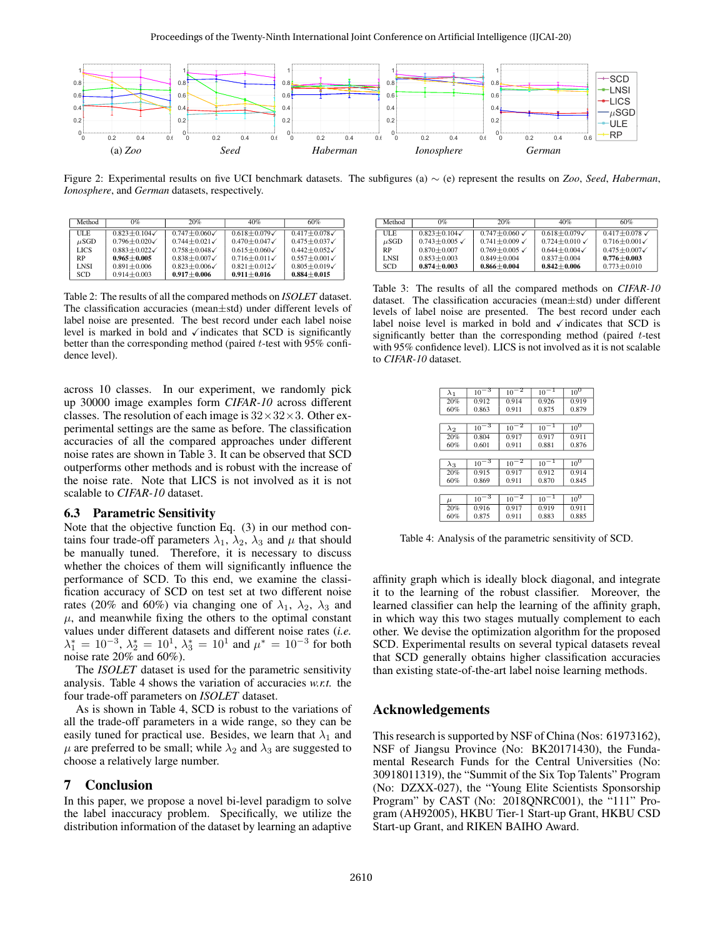

Figure 2: Experimental results on five UCI benchmark datasets. The subfigures (a) ∼ (e) represent the results on *Zoo*, *Seed*, *Haberman*, *Ionosphere*, and *German* datasets, respectively.

| Method      | 0%                        | 20%                       | 40%             | 60%               |
|-------------|---------------------------|---------------------------|-----------------|-------------------|
| ULE         | $0.823 + 0.104$           | $0.747 + 0.060$           | $0.618 + 0.079$ | $0.417 + 0.078$   |
| $\mu$ SGD   | $0.796 + 0.020\checkmark$ | $0.744 + 0.021$           | $0.470 + 0.047$ | $0.475 + 0.037$   |
| <b>LICS</b> | $0.883 + 0.022$           | $0.758 + 0.048$           | $0.615 + 0.060$ | $0.442 + 0.052$   |
| RP          | $0.965 + 0.005$           | $0.838 + 0.007$           | $0.716 + 0.011$ | $0.557 + 0.001$   |
| <b>LNSI</b> | $0.891 + 0.006$           | $0.823 + 0.006\checkmark$ | $0.821 + 0.012$ | $0.805 + 0.019$   |
| SCD         | $0.914 + 0.003$           | $0.917 + 0.006$           | $0.911 + 0.016$ | $0.884 \pm 0.015$ |

Table 2: The results of all the compared methods on *ISOLET* dataset. The classification accuracies (mean±std) under different levels of label noise are presented. The best record under each label noise level is marked in bold and  $\checkmark$  indicates that SCD is significantly better than the corresponding method (paired  $t$ -test with 95% confidence level).

across 10 classes. In our experiment, we randomly pick up 30000 image examples form *CIFAR-10* across different classes. The resolution of each image is  $32 \times 32 \times 3$ . Other experimental settings are the same as before. The classification accuracies of all the compared approaches under different noise rates are shown in Table 3. It can be observed that SCD outperforms other methods and is robust with the increase of the noise rate. Note that LICS is not involved as it is not scalable to *CIFAR-10* dataset.

### 6.3 Parametric Sensitivity

Note that the objective function Eq. (3) in our method contains four trade-off parameters  $\lambda_1$ ,  $\lambda_2$ ,  $\lambda_3$  and  $\mu$  that should be manually tuned. Therefore, it is necessary to discuss whether the choices of them will significantly influence the performance of SCD. To this end, we examine the classification accuracy of SCD on test set at two different noise rates (20% and 60%) via changing one of  $\lambda_1$ ,  $\lambda_2$ ,  $\lambda_3$  and  $\mu$ , and meanwhile fixing the others to the optimal constant values under different datasets and different noise rates (*i.e.*  $\lambda_1^* = 10^{-3}, \lambda_2^* = 10^1, \lambda_3^* = 10^1$  and  $\mu^* = 10^{-3}$  for both noise rate 20% and 60%).

The *ISOLET* dataset is used for the parametric sensitivity analysis. Table 4 shows the variation of accuracies *w.r.t.* the four trade-off parameters on *ISOLET* dataset.

As is shown in Table 4, SCD is robust to the variations of all the trade-off parameters in a wide range, so they can be easily tuned for practical use. Besides, we learn that  $\lambda_1$  and  $\mu$  are preferred to be small; while  $\lambda_2$  and  $\lambda_3$  are suggested to choose a relatively large number.

# 7 Conclusion

In this paper, we propose a novel bi-level paradigm to solve the label inaccuracy problem. Specifically, we utilize the distribution information of the dataset by learning an adaptive

| Method      | 0%                             | 20%                          | 40%                     | 60%                          |
|-------------|--------------------------------|------------------------------|-------------------------|------------------------------|
| ULE         | $0.823 + 0.104$                | $0.747 + 0.060$ $\checkmark$ | $0.618 + 0.079$         | $0.417 + 0.078$ $\checkmark$ |
| $\mu$ SGD   | $0.743 \pm 0.005$ $\checkmark$ | $0.741 + 0.009$ $\checkmark$ | $0.724 + 0.010$         | $0.716 \pm 0.001$            |
| RP          | $0.870 + 0.007$                | $0.769 + 0.005$ $\checkmark$ | $0.644 + 0.004\sqrt{ }$ | $0.475 \pm 0.007$            |
| <b>LNSI</b> | $0.853 + 0.003$                | $0.849 + 0.004$              | $0.837 + 0.004$         | $0.776 \pm 0.003$            |
| SCD         | $0.874 + 0.003$                | $0.866 \pm 0.004$            | $0.842 + 0.006$         | $0.773 \pm 0.010$            |

Table 3: The results of all the compared methods on *CIFAR-10* dataset. The classification accuracies (mean±std) under different levels of label noise are presented. The best record under each label noise level is marked in bold and  $\checkmark$  indicates that SCD is significantly better than the corresponding method (paired  $t$ -test with 95% confidence level). LICS is not involved as it is not scalable to *CIFAR-10* dataset.

| $\lambda_1$ | $10^{-3}$ | $10^{-2}$ | $10^{-1}$ | 10 <sup>0</sup>     |
|-------------|-----------|-----------|-----------|---------------------|
| 20%         | 0.912     | 0.914     | 0.926     | 0.919               |
| 60%         | 0.863     | 0.911     | 0.875     | 0.879               |
|             |           |           |           |                     |
| $\lambda_2$ | $10^{-3}$ | $10^{-2}$ | $10^{-1}$ | $10^{\overline{0}}$ |
| 20%         | 0.804     | 0.917     | 0.917     | 0.911               |
| 60%         | 0.601     | 0.911     | 0.881     | 0.876               |
|             |           |           |           |                     |
| $\lambda_3$ | $10^{-3}$ | $10^{-2}$ | $10^{-1}$ | $10^{0}$            |
| 20%         | 0.915     | 0.917     | 0.912     | 0.914               |
| 60%         | 0.869     | 0.911     | 0.870     | 0.845               |
|             |           |           |           |                     |
| $\mu$       | $10^{-3}$ | $10^{-2}$ | $10^{-1}$ | $10^{\overline{0}}$ |
| 20%         | 0.916     | 0.917     | 0.919     | 0.911               |
| 60%         | 0.875     | 0.911     | 0.883     | 0.885               |

Table 4: Analysis of the parametric sensitivity of SCD.

affinity graph which is ideally block diagonal, and integrate it to the learning of the robust classifier. Moreover, the learned classifier can help the learning of the affinity graph, in which way this two stages mutually complement to each other. We devise the optimization algorithm for the proposed SCD. Experimental results on several typical datasets reveal that SCD generally obtains higher classification accuracies than existing state-of-the-art label noise learning methods.

# Acknowledgements

This research is supported by NSF of China (Nos: 61973162), NSF of Jiangsu Province (No: BK20171430), the Fundamental Research Funds for the Central Universities (No: 30918011319), the "Summit of the Six Top Talents" Program (No: DZXX-027), the "Young Elite Scientists Sponsorship Program" by CAST (No: 2018QNRC001), the "111" Program (AH92005), HKBU Tier-1 Start-up Grant, HKBU CSD Start-up Grant, and RIKEN BAIHO Award.